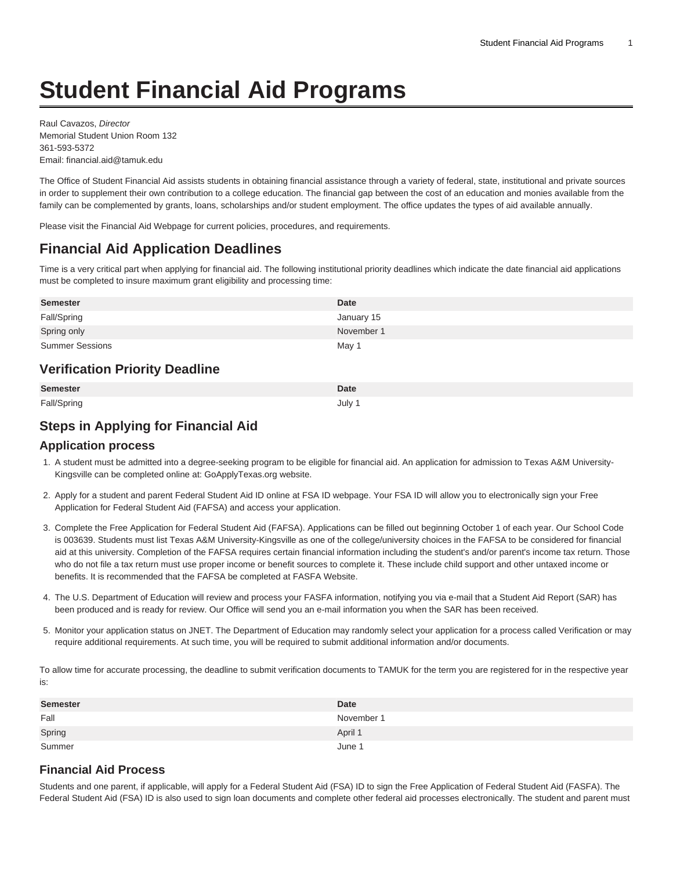# **Student Financial Aid Programs**

Raul Cavazos, Director Memorial Student Union Room 132 361-593-5372 Email: [financial.aid@tamuk.edu](mailto:financial.aid@tamuk.edu)

The Office of Student Financial Aid assists students in obtaining financial assistance through a variety of federal, state, institutional and private sources in order to supplement their own contribution to a college education. The financial gap between the cost of an education and monies available from the family can be complemented by grants, loans, scholarships and/or student employment. The office updates the types of aid available annually.

Please visit the [Financial Aid Webpage](http://www.tamuk.edu/finaid/) for current policies, procedures, and requirements.

## **Financial Aid Application Deadlines**

Time is a very critical part when applying for financial aid. The following institutional priority deadlines which indicate the date financial aid applications must be completed to insure maximum grant eligibility and processing time:

| <b>Semester</b>                       | <b>Date</b> |
|---------------------------------------|-------------|
| Fall/Spring                           | January 15  |
| Spring only                           | November 1  |
| <b>Summer Sessions</b>                | May 1       |
| <b>Verification Priority Deadline</b> |             |
|                                       |             |
| <b>Semester</b>                       | <b>Date</b> |

## **Steps in Applying for Financial Aid**

#### **Application process**

- 1. A student must be admitted into a degree-seeking program to be eligible for financial aid. An application for admission to Texas A&M University-Kingsville can be completed online at: [GoApplyTexas.org](http://goapplytexas.org) website.
- 2. Apply for a student and parent Federal Student Aid ID online at [FSA ID](https://studentaid.ed.gov/sa/fafsa/filling-out/fsaid/) webpage. Your FSA ID will allow you to electronically sign your Free Application for Federal Student Aid (FAFSA) and access your application.
- 3. Complete the Free Application for Federal Student Aid (FAFSA). Applications can be filled out beginning October 1 of each year. Our School Code is 003639. Students must list Texas A&M University-Kingsville as one of the college/university choices in the FAFSA to be considered for financial aid at this university. Completion of the FAFSA requires certain financial information including the student's and/or parent's income tax return. Those who do not file a tax return must use proper income or benefit sources to complete it. These include child support and other untaxed income or benefits. It is recommended that the FAFSA be completed at [FASFA Website](https://catalog.tamuk.edu/undergraduate/student-financial-aid-programs/www.studentaid.gov).
- 4. The U.S. Department of Education will review and process your FASFA information, notifying you via e-mail that a Student Aid Report (SAR) has been produced and is ready for review. Our Office will send you an e-mail information you when the SAR has been received.
- 5. Monitor your application status on JNET. The Department of Education may randomly select your application for a process called Verification or may require additional requirements. At such time, you will be required to submit additional information and/or documents.

To allow time for accurate processing, the deadline to submit verification documents to TAMUK for the term you are registered for in the respective year is:

| <b>Semester</b> | <b>Date</b> |
|-----------------|-------------|
| Fall            | November 1  |
| Spring          | April 1     |
| Summer          | June 1      |

#### **Financial Aid Process**

Students and one parent, if applicable, will apply for a [Federal Student Aid \(FSA\) ID](https://fsaid.ed.gov/npas/) to sign the [Free Application of Federal Student Aid \(FASFA\)](https://studentaid.gov/h/apply-for-aid/fafsa/). The Federal Student Aid (FSA) ID is also used to sign loan documents and complete other federal aid processes electronically. The student and parent must